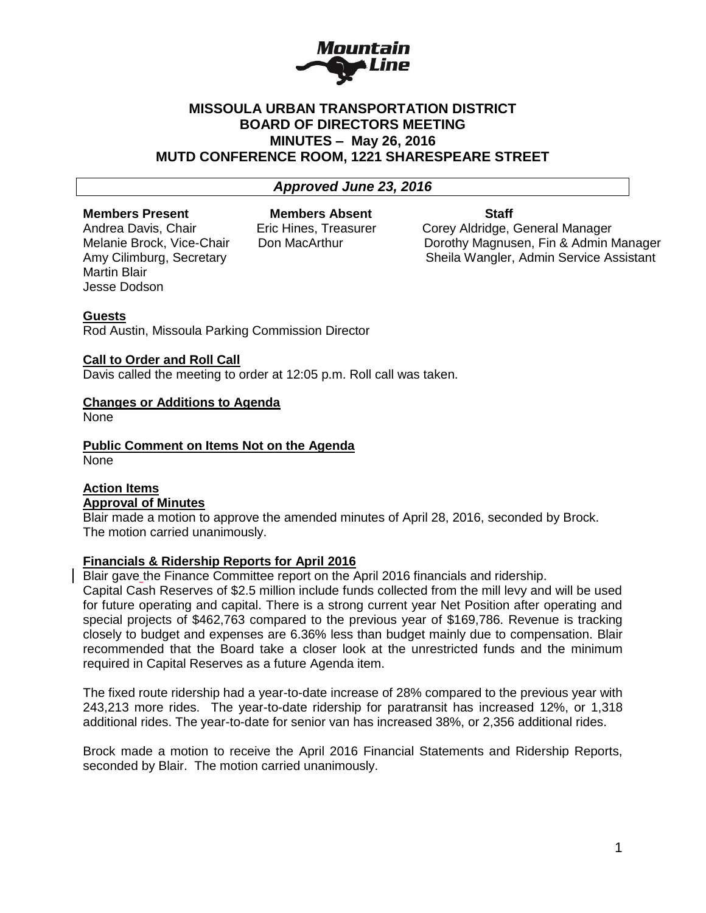

# **MISSOULA URBAN TRANSPORTATION DISTRICT BOARD OF DIRECTORS MEETING MINUTES – May 26, 2016 MUTD CONFERENCE ROOM, 1221 SHARESPEARE STREET**

# *Approved June 23, 2016*

#### **Members Present Members Absent Staff**

Martin Blair Jesse Dodson

Andrea Davis, Chair **Eric Hines, Treasurer Corey Aldridge, General Manager** Melanie Brock, Vice-Chair Don MacArthur Dorothy Magnusen, Fin & Admin Manager Amy Cilimburg, Secretary Sheila Wangler, Admin Service Assistant

#### **Guests**

Rod Austin, Missoula Parking Commission Director

#### **Call to Order and Roll Call**

Davis called the meeting to order at 12:05 p.m. Roll call was taken.

# **Changes or Additions to Agenda**

None

**Public Comment on Items Not on the Agenda** None

# **Action Items Approval of Minutes**

Blair made a motion to approve the amended minutes of April 28, 2016, seconded by Brock. The motion carried unanimously.

# **Financials & Ridership Reports for April 2016**

Blair gave the Finance Committee report on the April 2016 financials and ridership.

Capital Cash Reserves of \$2.5 million include funds collected from the mill levy and will be used for future operating and capital. There is a strong current year Net Position after operating and special projects of \$462,763 compared to the previous year of \$169,786. Revenue is tracking closely to budget and expenses are 6.36% less than budget mainly due to compensation. Blair recommended that the Board take a closer look at the unrestricted funds and the minimum required in Capital Reserves as a future Agenda item.

The fixed route ridership had a year-to-date increase of 28% compared to the previous year with 243,213 more rides. The year-to-date ridership for paratransit has increased 12%, or 1,318 additional rides. The year-to-date for senior van has increased 38%, or 2,356 additional rides.

Brock made a motion to receive the April 2016 Financial Statements and Ridership Reports, seconded by Blair. The motion carried unanimously.